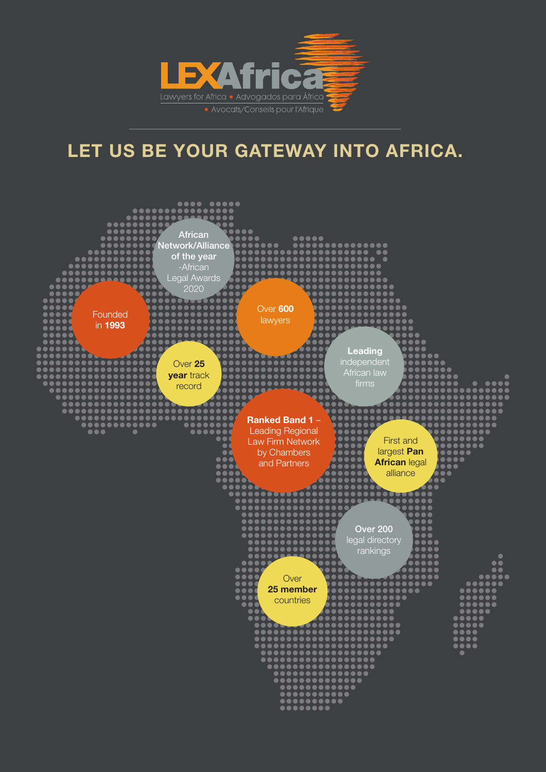

# LET US BE YOUR GATEWAY INTO AFRICA.

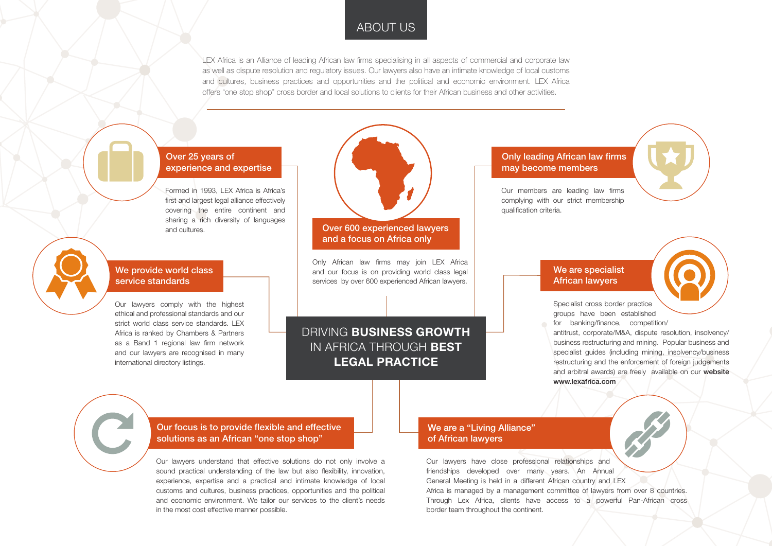## ABOUT US

DRIVING BUSINESS GROWTH IN AFRICA THROUGH BEST LEGAL PRACTICE

LEX Africa is an Alliance of leading African law firms specialising in all aspects of commercial and corporate law as well as dispute resolution and regulatory issues. Our lawyers also have an intimate knowledge of local customs and cultures, business practices and opportunities and the political and economic environment. LEX Africa offers "one stop shop" cross border and local solutions to clients for their African business and other activities.

Formed in 1993, LEX Africa is Africa's first and largest legal alliance effectively covering the entire continent and sharing a rich diversity of languages and cultures.

Our lawyers understand that effective solutions do not only involve a sound practical understanding of the law but also flexibility, innovation, experience, expertise and a practical and intimate knowledge of local customs and cultures, business practices, opportunities and the political and economic environment. We tailor our services to the client's needs in the most cost effective manner possible.

Our lawyers comply with the highest ethical and professional standards and our strict world class service standards. LEX Africa is ranked by Chambers & Partners as a Band 1 regional law firm network and our lawyers are recognised in many international directory listings.



### We provide world class service standards

Only African law firms may join LEX Africa and our focus is on providing world class legal services by over 600 experienced African lawyers.

Our members are leading law firms complying with our strict membership qualification criteria.

Our lawyers have close professional relationships and friendships developed over many years. An Annual General Meeting is held in a different African country and LEX Africa is managed by a management committee of lawyers from over 8 countries. Through Lex Africa, clients have access to a powerful Pan-African cross border team throughout the continent.



Specialist cross border practice groups have been established for banking/finance, competition/ antitrust, corporate/M&A, dispute resolution, insolvency/ business restructuring and mining. Popular business and specialist quides (including mining, insolvency/business restructuring and the enforcement of foreign judgements and arbitral awards) are freely available on our website

www.lexafrica.com

#### Over 25 years of experience and expertise

#### Our focus is to provide flexible and effective solutions as an African "one stop shop"

#### Over 600 experienced lawyers and a focus on Africa only

### Only leading African law firms may become members

#### We are a "Living Alliance" of African lawyers

### We are specialist African lawyers